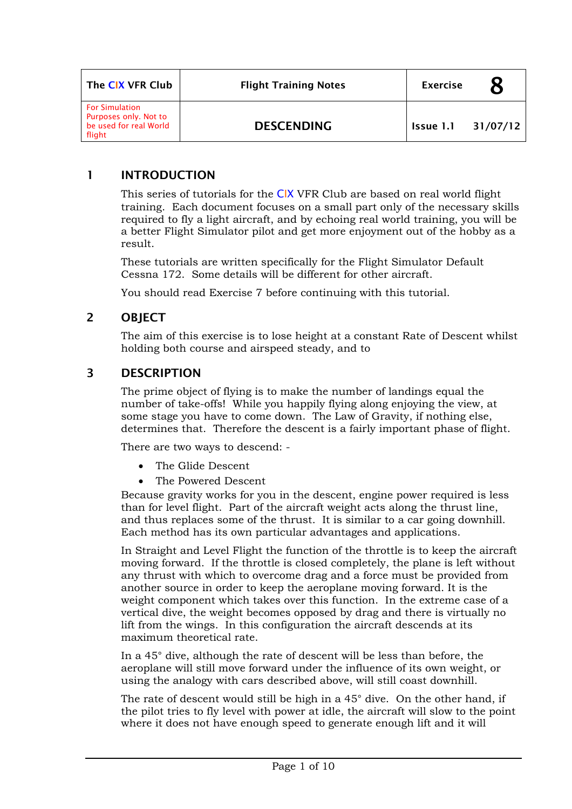| The CIX VFR Club                                                                   | <b>Flight Training Notes</b> | <b>Exercise</b> |          |
|------------------------------------------------------------------------------------|------------------------------|-----------------|----------|
| <b>For Simulation</b><br>Purposes only. Not to<br>be used for real World<br>flight | <b>DESCENDING</b>            | Issue 1.1       | 31/07/12 |

### 1 INTRODUCTION

This series of tutorials for the CIX VFR Club are based on real world flight training. Each document focuses on a small part only of the necessary skills required to fly a light aircraft, and by echoing real world training, you will be a better Flight Simulator pilot and get more enjoyment out of the hobby as a result.

These tutorials are written specifically for the Flight Simulator Default Cessna 172. Some details will be different for other aircraft.

You should read Exercise 7 before continuing with this tutorial.

### 2 OBJECT

The aim of this exercise is to lose height at a constant Rate of Descent whilst holding both course and airspeed steady, and to

## 3 DESCRIPTION

The prime object of flying is to make the number of landings equal the number of take-offs! While you happily flying along enjoying the view, at some stage you have to come down. The Law of Gravity, if nothing else, determines that. Therefore the descent is a fairly important phase of flight.

There are two ways to descend: -

- The Glide Descent
- The Powered Descent

Because gravity works for you in the descent, engine power required is less than for level flight. Part of the aircraft weight acts along the thrust line, and thus replaces some of the thrust. It is similar to a car going downhill. Each method has its own particular advantages and applications.

In Straight and Level Flight the function of the throttle is to keep the aircraft moving forward. If the throttle is closed completely, the plane is left without any thrust with which to overcome drag and a force must be provided from another source in order to keep the aeroplane moving forward. It is the weight component which takes over this function. In the extreme case of a vertical dive, the weight becomes opposed by drag and there is virtually no lift from the wings. In this configuration the aircraft descends at its maximum theoretical rate.

In a 45° dive, although the rate of descent will be less than before, the aeroplane will still move forward under the influence of its own weight, or using the analogy with cars described above, will still coast downhill.

The rate of descent would still be high in a 45° dive. On the other hand, if the pilot tries to fly level with power at idle, the aircraft will slow to the point where it does not have enough speed to generate enough lift and it will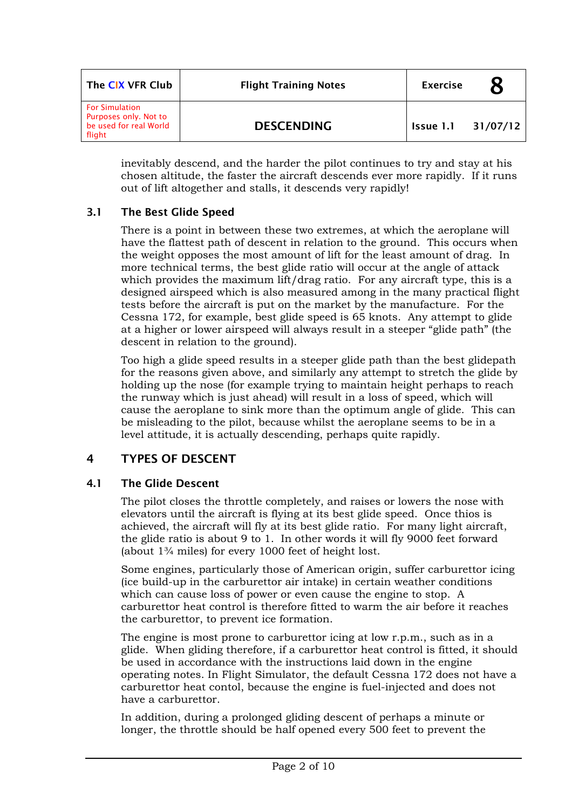| The CIX VFR Club                                                                   | <b>Flight Training Notes</b> | <b>Exercise</b> |          |
|------------------------------------------------------------------------------------|------------------------------|-----------------|----------|
| <b>For Simulation</b><br>Purposes only. Not to<br>be used for real World<br>flight | <b>DESCENDING</b>            | Issue 1.1       | 31/07/12 |

inevitably descend, and the harder the pilot continues to try and stay at his chosen altitude, the faster the aircraft descends ever more rapidly. If it runs out of lift altogether and stalls, it descends very rapidly!

### 3.1 The Best Glide Speed

There is a point in between these two extremes, at which the aeroplane will have the flattest path of descent in relation to the ground. This occurs when the weight opposes the most amount of lift for the least amount of drag. In more technical terms, the best glide ratio will occur at the angle of attack which provides the maximum lift/drag ratio. For any aircraft type, this is a designed airspeed which is also measured among in the many practical flight tests before the aircraft is put on the market by the manufacture. For the Cessna 172, for example, best glide speed is 65 knots. Any attempt to glide at a higher or lower airspeed will always result in a steeper "glide path" (the descent in relation to the ground).

Too high a glide speed results in a steeper glide path than the best glidepath for the reasons given above, and similarly any attempt to stretch the glide by holding up the nose (for example trying to maintain height perhaps to reach the runway which is just ahead) will result in a loss of speed, which will cause the aeroplane to sink more than the optimum angle of glide. This can be misleading to the pilot, because whilst the aeroplane seems to be in a level attitude, it is actually descending, perhaps quite rapidly.

# 4 TYPES OF DESCENT

### 4.1 The Glide Descent

The pilot closes the throttle completely, and raises or lowers the nose with elevators until the aircraft is flying at its best glide speed. Once thios is achieved, the aircraft will fly at its best glide ratio. For many light aircraft, the glide ratio is about 9 to 1. In other words it will fly 9000 feet forward (about 1¾ miles) for every 1000 feet of height lost.

Some engines, particularly those of American origin, suffer carburettor icing (ice build-up in the carburettor air intake) in certain weather conditions which can cause loss of power or even cause the engine to stop. A carburettor heat control is therefore fitted to warm the air before it reaches the carburettor, to prevent ice formation.

The engine is most prone to carburettor icing at low r.p.m., such as in a glide. When gliding therefore, if a carburettor heat control is fitted, it should be used in accordance with the instructions laid down in the engine operating notes. In Flight Simulator, the default Cessna 172 does not have a carburettor heat contol, because the engine is fuel-injected and does not have a carburettor.

In addition, during a prolonged gliding descent of perhaps a minute or longer, the throttle should be half opened every 500 feet to prevent the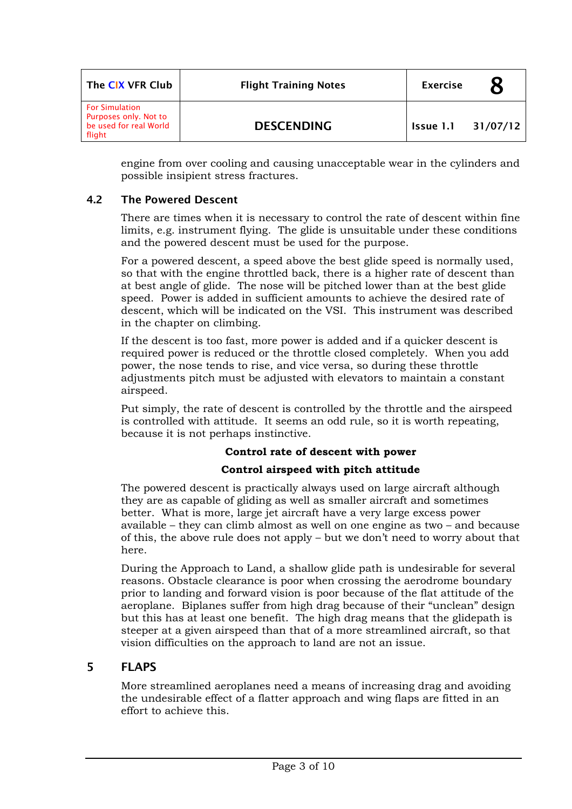| The CIX VFR Club                                                                   | <b>Flight Training Notes</b> | <b>Exercise</b> |          |
|------------------------------------------------------------------------------------|------------------------------|-----------------|----------|
| <b>For Simulation</b><br>Purposes only. Not to<br>be used for real World<br>flight | <b>DESCENDING</b>            | Issue 1.1       | 31/07/12 |

engine from over cooling and causing unacceptable wear in the cylinders and possible insipient stress fractures.

#### 4.2 The Powered Descent

There are times when it is necessary to control the rate of descent within fine limits, e.g. instrument flying. The glide is unsuitable under these conditions and the powered descent must be used for the purpose.

For a powered descent, a speed above the best glide speed is normally used, so that with the engine throttled back, there is a higher rate of descent than at best angle of glide. The nose will be pitched lower than at the best glide speed. Power is added in sufficient amounts to achieve the desired rate of descent, which will be indicated on the VSI. This instrument was described in the chapter on climbing.

If the descent is too fast, more power is added and if a quicker descent is required power is reduced or the throttle closed completely. When you add power, the nose tends to rise, and vice versa, so during these throttle adjustments pitch must be adjusted with elevators to maintain a constant airspeed.

Put simply, the rate of descent is controlled by the throttle and the airspeed is controlled with attitude. It seems an odd rule, so it is worth repeating, because it is not perhaps instinctive.

#### **Control rate of descent with power**

### **Control airspeed with pitch attitude**

The powered descent is practically always used on large aircraft although they are as capable of gliding as well as smaller aircraft and sometimes better. What is more, large jet aircraft have a very large excess power available – they can climb almost as well on one engine as two – and because of this, the above rule does not apply – but we don't need to worry about that here.

During the Approach to Land, a shallow glide path is undesirable for several reasons. Obstacle clearance is poor when crossing the aerodrome boundary prior to landing and forward vision is poor because of the flat attitude of the aeroplane. Biplanes suffer from high drag because of their "unclean" design but this has at least one benefit. The high drag means that the glidepath is steeper at a given airspeed than that of a more streamlined aircraft, so that vision difficulties on the approach to land are not an issue.

### 5 FLAPS

More streamlined aeroplanes need a means of increasing drag and avoiding the undesirable effect of a flatter approach and wing flaps are fitted in an effort to achieve this.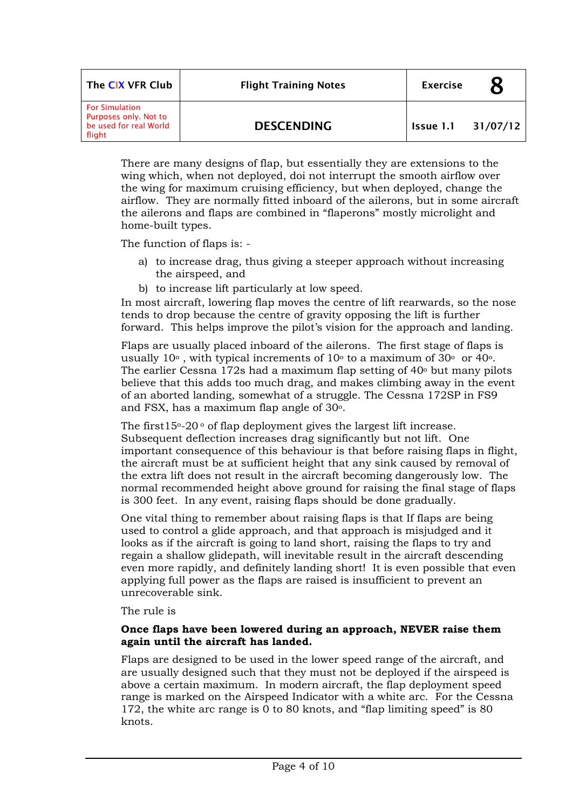| The CIX VFR Club                                                                   | <b>Flight Training Notes</b> | <b>Exercise</b> |          |
|------------------------------------------------------------------------------------|------------------------------|-----------------|----------|
| <b>For Simulation</b><br>Purposes only. Not to<br>be used for real World<br>flight | <b>DESCENDING</b>            | Issue 1.1       | 31/07/12 |

There are many designs of flap, but essentially they are extensions to the wing which, when not deployed, doi not interrupt the smooth airflow over the wing for maximum cruising efficiency, but when deployed, change the airflow. They are normally fitted inboard of the ailerons, but in some aircraft the ailerons and flaps are combined in "flaperons" mostly microlight and home-built types.

The function of flaps is: -

- a) to increase drag, thus giving a steeper approach without increasing the airspeed, and
- b) to increase lift particularly at low speed.

In most aircraft, lowering flap moves the centre of lift rearwards, so the nose tends to drop because the centre of gravity opposing the lift is further forward. This helps improve the pilot's vision for the approach and landing.

Flaps are usually placed inboard of the ailerons. The first stage of flaps is usually  $10^{\circ}$ , with typical increments of  $10^{\circ}$  to a maximum of  $30^{\circ}$  or  $40^{\circ}$ . The earlier Cessna 172s had a maximum flap setting of  $40<sup>°</sup>$  but many pilots believe that this adds too much drag, and makes climbing away in the event of an aborted landing, somewhat of a struggle. The Cessna 172SP in FS9 and FSX, has a maximum flap angle of 30o.

The first  $15^{\circ}$ -20 $^{\circ}$  of flap deployment gives the largest lift increase. Subsequent deflection increases drag significantly but not lift. One important consequence of this behaviour is that before raising flaps in flight, the aircraft must be at sufficient height that any sink caused by removal of the extra lift does not result in the aircraft becoming dangerously low. The normal recommended height above ground for raising the final stage of flaps is 300 feet. In any event, raising flaps should be done gradually.

One vital thing to remember about raising flaps is that If flaps are being used to control a glide approach, and that approach is misjudged and it looks as if the aircraft is going to land short, raising the flaps to try and regain a shallow glidepath, will inevitable result in the aircraft descending even more rapidly, and definitely landing short! It is even possible that even applying full power as the flaps are raised is insufficient to prevent an unrecoverable sink.

The rule is

#### **Once flaps have been lowered during an approach, NEVER raise them again until the aircraft has landed.**

Flaps are designed to be used in the lower speed range of the aircraft, and are usually designed such that they must not be deployed if the airspeed is above a certain maximum. In modern aircraft, the flap deployment speed range is marked on the Airspeed Indicator with a white arc. For the Cessna 172, the white arc range is 0 to 80 knots, and "flap limiting speed" is 80 knots.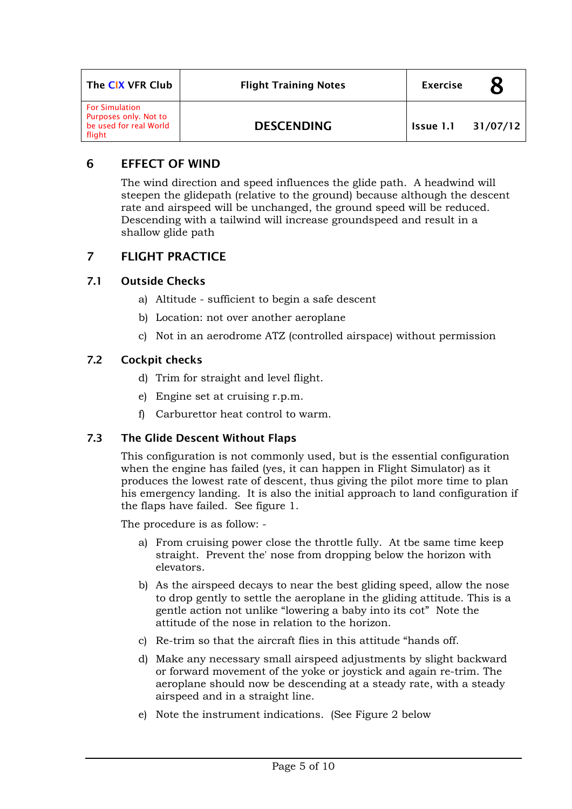| The CIX VFR Club                                                                   | <b>Flight Training Notes</b> | <b>Exercise</b> |          |
|------------------------------------------------------------------------------------|------------------------------|-----------------|----------|
| <b>For Simulation</b><br>Purposes only. Not to<br>be used for real World<br>flight | <b>DESCENDING</b>            | Issue 1.1       | 31/07/12 |

### 6 EFFECT OF WIND

The wind direction and speed influences the glide path. A headwind will steepen the glidepath (relative to the ground) because although the descent rate and airspeed will be unchanged, the ground speed will be reduced. Descending with a tailwind will increase groundspeed and result in a shallow glide path

# 7 FLIGHT PRACTICE

### 7.1 Outside Checks

- a) Altitude sufficient to begin a safe descent
- b) Location: not over another aeroplane
- c) Not in an aerodrome ATZ (controlled airspace) without permission

### 7.2 Cockpit checks

- d) Trim for straight and level flight.
- e) Engine set at cruising r.p.m.
- f) Carburettor heat control to warm.

### 7.3 The Glide Descent Without Flaps

This configuration is not commonly used, but is the essential configuration when the engine has failed (yes, it can happen in Flight Simulator) as it produces the lowest rate of descent, thus giving the pilot more time to plan his emergency landing. It is also the initial approach to land configuration if the flaps have failed. See figure 1.

The procedure is as follow: -

- a) From cruising power close the throttle fully. At tbe same time keep straight. Prevent the' nose from dropping below the horizon with elevators.
- b) As the airspeed decays to near the best gliding speed, allow the nose to drop gently to settle the aeroplane in the gliding attitude. This is a gentle action not unlike "lowering a baby into its cot" Note the attitude of the nose in relation to the horizon.
- c) Re-trim so that the aircraft flies in this attitude "hands off.
- d) Make any necessary small airspeed adjustments by slight backward or forward movement of the yoke or joystick and again re-trim. The aeroplane should now be descending at a steady rate, with a steady airspeed and in a straight line.
- e) Note the instrument indications. (See Figure 2 below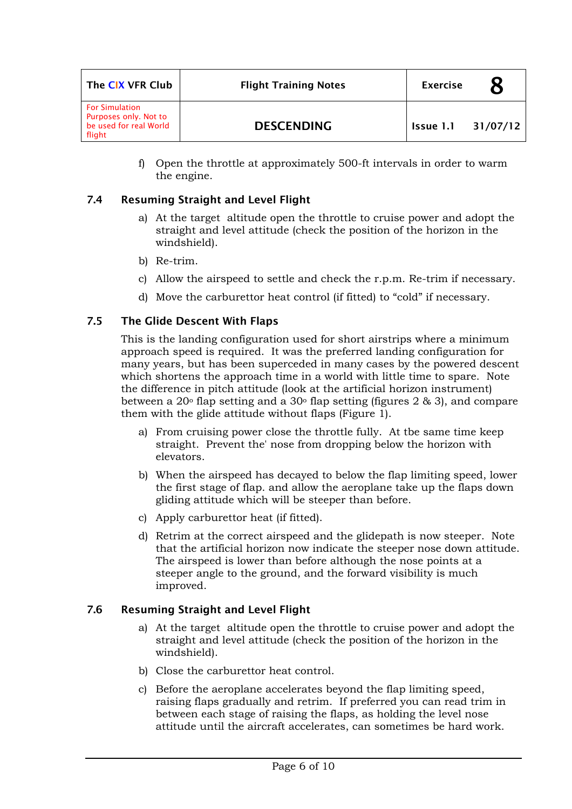| The CIX VFR Club                                                                   | <b>Flight Training Notes</b> | <b>Exercise</b> |          |
|------------------------------------------------------------------------------------|------------------------------|-----------------|----------|
| <b>For Simulation</b><br>Purposes only. Not to<br>be used for real World<br>flight | <b>DESCENDING</b>            | Issue 1.1       | 31/07/12 |

f) Open the throttle at approximately 500-ft intervals in order to warm the engine.

### 7.4 Resuming Straight and Level Flight

- a) At the target altitude open the throttle to cruise power and adopt the straight and level attitude (check the position of the horizon in the windshield).
- b) Re-trim.
- c) Allow the airspeed to settle and check the r.p.m. Re-trim if necessary.
- d) Move the carburettor heat control (if fitted) to "cold" if necessary.

#### 7.5 The Glide Descent With Flaps

This is the landing configuration used for short airstrips where a minimum approach speed is required. It was the preferred landing configuration for many years, but has been superceded in many cases by the powered descent which shortens the approach time in a world with little time to spare. Note the difference in pitch attitude (look at the artificial horizon instrument) between a 20 $\textdegree$  flap setting and a 30 $\textdegree$  flap setting (figures 2 & 3), and compare them with the glide attitude without flaps (Figure 1).

- a) From cruising power close the throttle fully. At tbe same time keep straight. Prevent the' nose from dropping below the horizon with elevators.
- b) When the airspeed has decayed to below the flap limiting speed, lower the first stage of flap. and allow the aeroplane take up the flaps down gliding attitude which will be steeper than before.
- c) Apply carburettor heat (if fitted).
- d) Retrim at the correct airspeed and the glidepath is now steeper. Note that the artificial horizon now indicate the steeper nose down attitude. The airspeed is lower than before although the nose points at a steeper angle to the ground, and the forward visibility is much improved.

### 7.6 Resuming Straight and Level Flight

- a) At the target altitude open the throttle to cruise power and adopt the straight and level attitude (check the position of the horizon in the windshield).
- b) Close the carburettor heat control.
- c) Before the aeroplane accelerates beyond the flap limiting speed, raising flaps gradually and retrim. If preferred you can read trim in between each stage of raising the flaps, as holding the level nose attitude until the aircraft accelerates, can sometimes be hard work.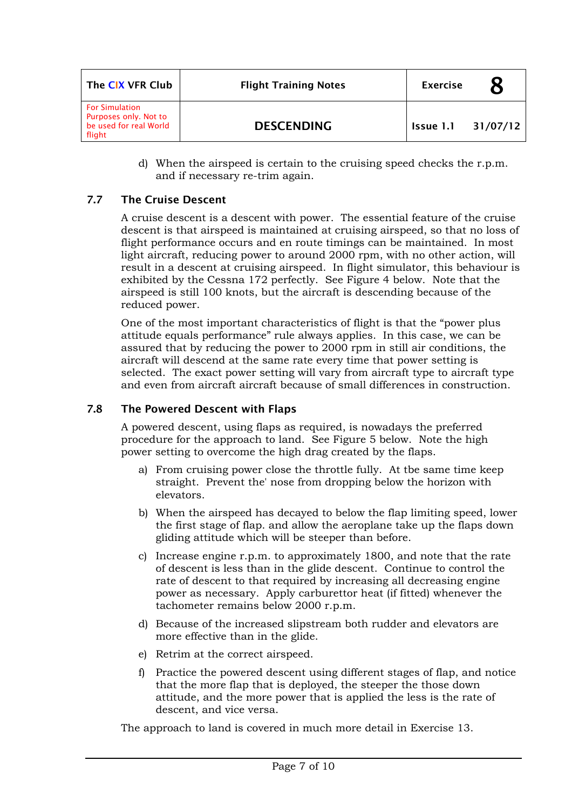| The CIX VFR Club                                                                   | <b>Flight Training Notes</b> | <b>Exercise</b> |          |
|------------------------------------------------------------------------------------|------------------------------|-----------------|----------|
| <b>For Simulation</b><br>Purposes only. Not to<br>be used for real World<br>flight | <b>DESCENDING</b>            | Issue 1.1       | 31/07/12 |

d) When the airspeed is certain to the cruising speed checks the r.p.m. and if necessary re-trim again.

### 7.7 The Cruise Descent

A cruise descent is a descent with power. The essential feature of the cruise descent is that airspeed is maintained at cruising airspeed, so that no loss of flight performance occurs and en route timings can be maintained. In most light aircraft, reducing power to around 2000 rpm, with no other action, will result in a descent at cruising airspeed. In flight simulator, this behaviour is exhibited by the Cessna 172 perfectly. See Figure 4 below. Note that the airspeed is still 100 knots, but the aircraft is descending because of the reduced power.

One of the most important characteristics of flight is that the "power plus attitude equals performance" rule always applies. In this case, we can be assured that by reducing the power to 2000 rpm in still air conditions, the aircraft will descend at the same rate every time that power setting is selected. The exact power setting will vary from aircraft type to aircraft type and even from aircraft aircraft because of small differences in construction.

### 7.8 The Powered Descent with Flaps

A powered descent, using flaps as required, is nowadays the preferred procedure for the approach to land. See Figure 5 below. Note the high power setting to overcome the high drag created by the flaps.

- a) From cruising power close the throttle fully. At tbe same time keep straight. Prevent the' nose from dropping below the horizon with elevators.
- b) When the airspeed has decayed to below the flap limiting speed, lower the first stage of flap. and allow the aeroplane take up the flaps down gliding attitude which will be steeper than before.
- c) Increase engine r.p.m. to approximately 1800, and note that the rate of descent is less than in the glide descent. Continue to control the rate of descent to that required by increasing all decreasing engine power as necessary. Apply carburettor heat (if fitted) whenever the tachometer remains below 2000 r.p.m.
- d) Because of the increased slipstream both rudder and elevators are more effective than in the glide.
- e) Retrim at the correct airspeed.
- f) Practice the powered descent using different stages of flap, and notice that the more flap that is deployed, the steeper the those down attitude, and the more power that is applied the less is the rate of descent, and vice versa.

The approach to land is covered in much more detail in Exercise 13.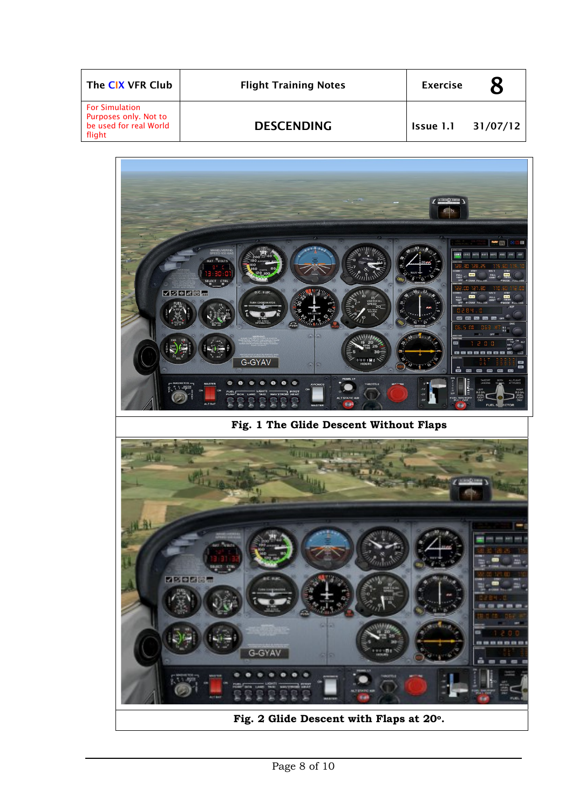| The CIX VFR Club                                                                   | <b>Flight Training Notes</b> | <b>Exercise</b>    |  |
|------------------------------------------------------------------------------------|------------------------------|--------------------|--|
| <b>For Simulation</b><br>Purposes only. Not to<br>be used for real World<br>flight | <b>DESCENDING</b>            | Issue 1.1 31/07/12 |  |



**Fig. 2 Glide Descent with Flaps at 20o.**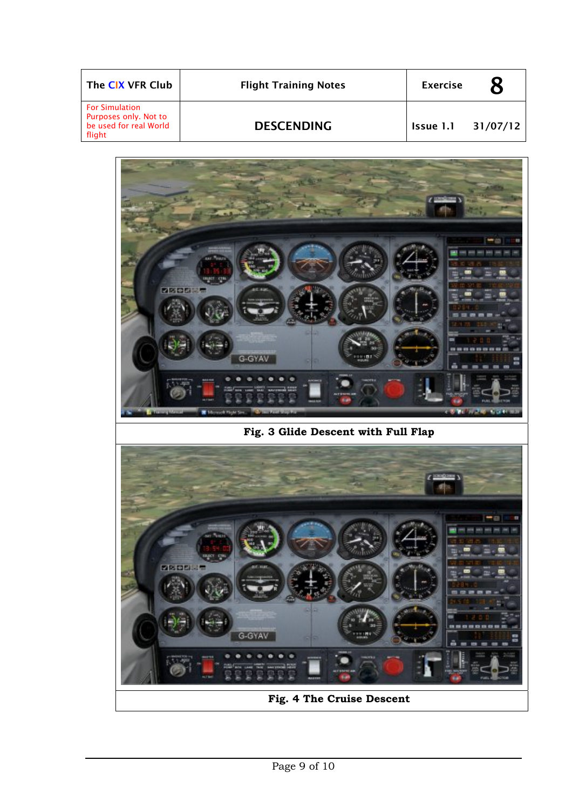| The CIX VFR Club                                                                   | <b>Flight Training Notes</b> | <b>Exercise</b>    |  |
|------------------------------------------------------------------------------------|------------------------------|--------------------|--|
| <b>For Simulation</b><br>Purposes only. Not to<br>be used for real World<br>flight | <b>DESCENDING</b>            | Issue 1.1 31/07/12 |  |



**Fig. 4 The Cruise Descent**